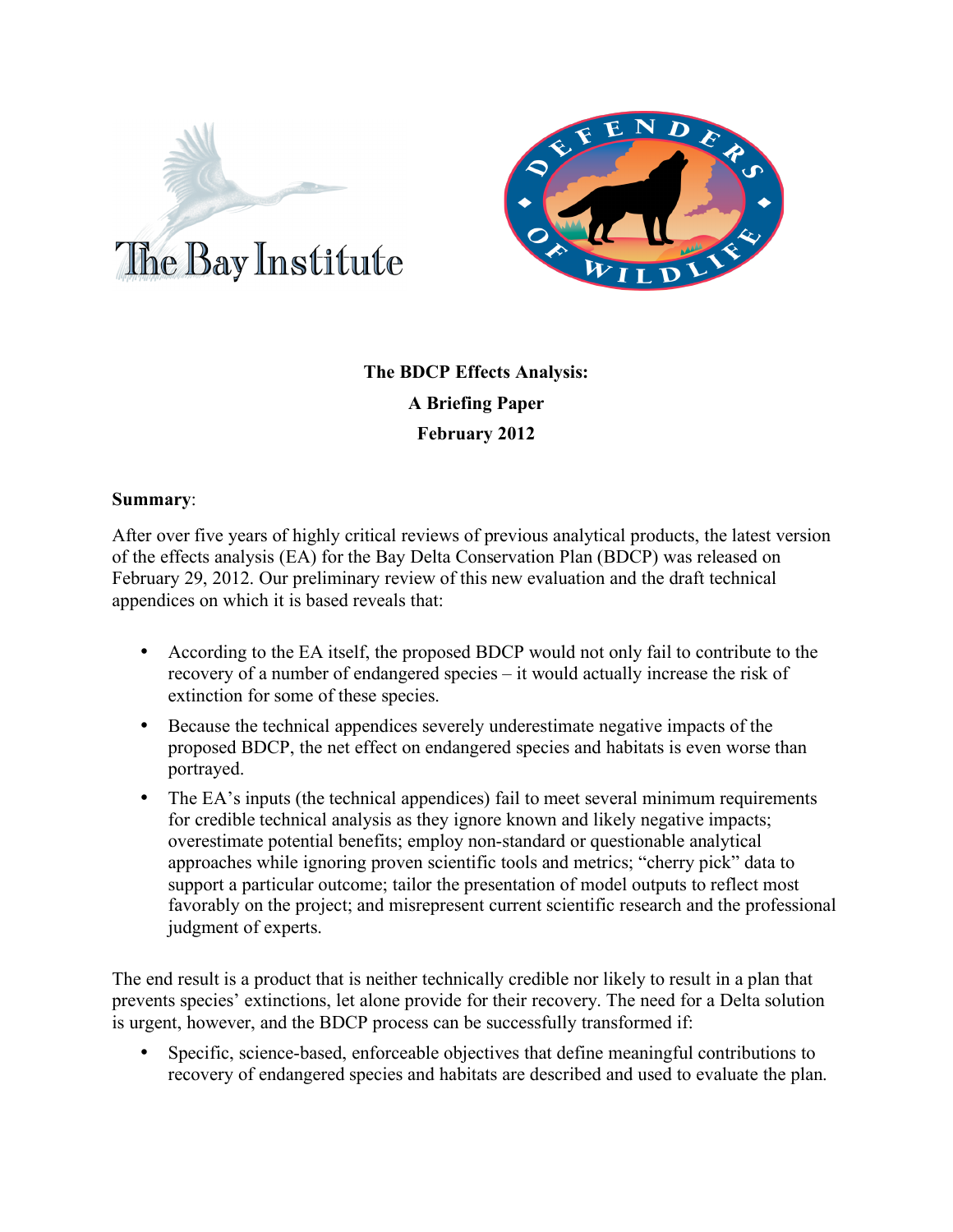



# **The BDCP Effects Analysis: A Briefing Paper February 2012**

#### **Summary**:

After over five years of highly critical reviews of previous analytical products, the latest version of the effects analysis (EA) for the Bay Delta Conservation Plan (BDCP) was released on February 29, 2012. Our preliminary review of this new evaluation and the draft technical appendices on which it is based reveals that:

- According to the EA itself, the proposed BDCP would not only fail to contribute to the recovery of a number of endangered species – it would actually increase the risk of extinction for some of these species.
- Because the technical appendices severely underestimate negative impacts of the proposed BDCP, the net effect on endangered species and habitats is even worse than portrayed.
- The EA's inputs (the technical appendices) fail to meet several minimum requirements for credible technical analysis as they ignore known and likely negative impacts; overestimate potential benefits; employ non-standard or questionable analytical approaches while ignoring proven scientific tools and metrics; "cherry pick" data to support a particular outcome; tailor the presentation of model outputs to reflect most favorably on the project; and misrepresent current scientific research and the professional judgment of experts.

The end result is a product that is neither technically credible nor likely to result in a plan that prevents species' extinctions, let alone provide for their recovery. The need for a Delta solution is urgent, however, and the BDCP process can be successfully transformed if:

Specific, science-based, enforceable objectives that define meaningful contributions to recovery of endangered species and habitats are described and used to evaluate the plan.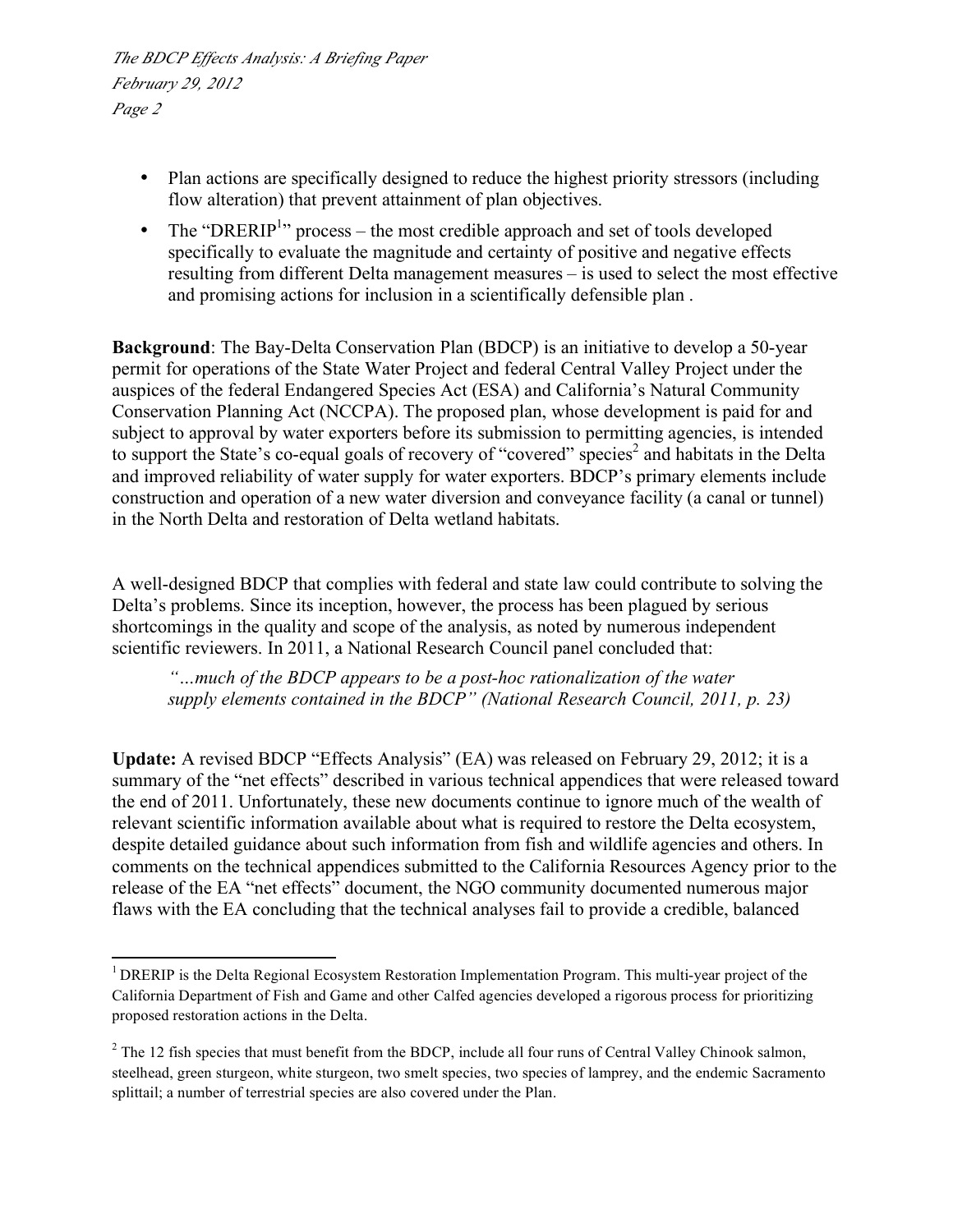- Plan actions are specifically designed to reduce the highest priority stressors (including flow alteration) that prevent attainment of plan objectives.
- The "DRERIP<sup>1</sup>" process the most credible approach and set of tools developed specifically to evaluate the magnitude and certainty of positive and negative effects resulting from different Delta management measures – is used to select the most effective and promising actions for inclusion in a scientifically defensible plan .

**Background**: The Bay-Delta Conservation Plan (BDCP) is an initiative to develop a 50-year permit for operations of the State Water Project and federal Central Valley Project under the auspices of the federal Endangered Species Act (ESA) and California's Natural Community Conservation Planning Act (NCCPA). The proposed plan, whose development is paid for and subject to approval by water exporters before its submission to permitting agencies, is intended to support the State's co-equal goals of recovery of "covered" species<sup>2</sup> and habitats in the Delta and improved reliability of water supply for water exporters. BDCP's primary elements include construction and operation of a new water diversion and conveyance facility (a canal or tunnel) in the North Delta and restoration of Delta wetland habitats.

A well-designed BDCP that complies with federal and state law could contribute to solving the Delta's problems. Since its inception, however, the process has been plagued by serious shortcomings in the quality and scope of the analysis, as noted by numerous independent scientific reviewers. In 2011, a National Research Council panel concluded that:

*"…much of the BDCP appears to be a post-hoc rationalization of the water supply elements contained in the BDCP" (National Research Council, 2011, p. 23)*

**Update:** A revised BDCP "Effects Analysis" (EA) was released on February 29, 2012; it is a summary of the "net effects" described in various technical appendices that were released toward the end of 2011. Unfortunately, these new documents continue to ignore much of the wealth of relevant scientific information available about what is required to restore the Delta ecosystem, despite detailed guidance about such information from fish and wildlife agencies and others. In comments on the technical appendices submitted to the California Resources Agency prior to the release of the EA "net effects" document, the NGO community documented numerous major flaws with the EA concluding that the technical analyses fail to provide a credible, balanced

<sup>&</sup>lt;sup>1</sup> DRERIP is the Delta Regional Ecosystem Restoration Implementation Program. This multi-year project of the California Department of Fish and Game and other Calfed agencies developed a rigorous process for prioritizing proposed restoration actions in the Delta.

 $2^2$  The 12 fish species that must benefit from the BDCP, include all four runs of Central Valley Chinook salmon, steelhead, green sturgeon, white sturgeon, two smelt species, two species of lamprey, and the endemic Sacramento splittail; a number of terrestrial species are also covered under the Plan.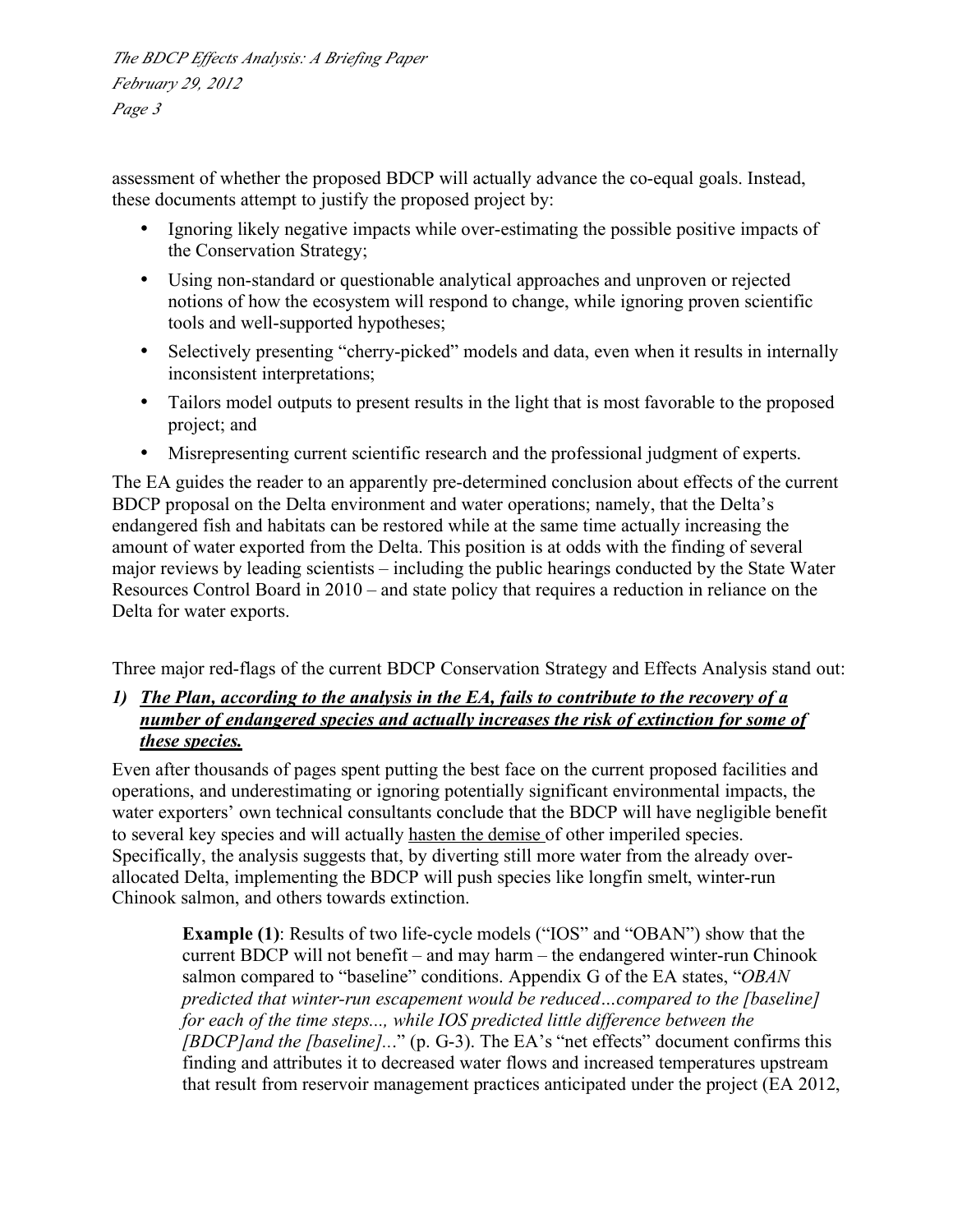assessment of whether the proposed BDCP will actually advance the co-equal goals. Instead, these documents attempt to justify the proposed project by:

- Ignoring likely negative impacts while over-estimating the possible positive impacts of the Conservation Strategy;
- Using non-standard or questionable analytical approaches and unproven or rejected notions of how the ecosystem will respond to change, while ignoring proven scientific tools and well-supported hypotheses;
- Selectively presenting "cherry-picked" models and data, even when it results in internally inconsistent interpretations;
- Tailors model outputs to present results in the light that is most favorable to the proposed project; and
- Misrepresenting current scientific research and the professional judgment of experts.

The EA guides the reader to an apparently pre-determined conclusion about effects of the current BDCP proposal on the Delta environment and water operations; namely, that the Delta's endangered fish and habitats can be restored while at the same time actually increasing the amount of water exported from the Delta. This position is at odds with the finding of several major reviews by leading scientists – including the public hearings conducted by the State Water Resources Control Board in 2010 – and state policy that requires a reduction in reliance on the Delta for water exports.

Three major red-flags of the current BDCP Conservation Strategy and Effects Analysis stand out:

## *1) The Plan, according to the analysis in the EA, fails to contribute to the recovery of a number of endangered species and actually increases the risk of extinction for some of these species.*

Even after thousands of pages spent putting the best face on the current proposed facilities and operations, and underestimating or ignoring potentially significant environmental impacts, the water exporters' own technical consultants conclude that the BDCP will have negligible benefit to several key species and will actually hasten the demise of other imperiled species. Specifically, the analysis suggests that, by diverting still more water from the already overallocated Delta, implementing the BDCP will push species like longfin smelt, winter-run Chinook salmon, and others towards extinction.

**Example (1)**: Results of two life-cycle models ("IOS" and "OBAN") show that the current BDCP will not benefit – and may harm – the endangered winter-run Chinook salmon compared to "baseline" conditions. Appendix G of the EA states, "*OBAN predicted that winter-run escapement would be reduced…compared to the [baseline] for each of the time steps..., while IOS predicted little difference between the [BDCP]and the [baseline]..*." (p. G-3). The EA's "net effects" document confirms this finding and attributes it to decreased water flows and increased temperatures upstream that result from reservoir management practices anticipated under the project (EA 2012,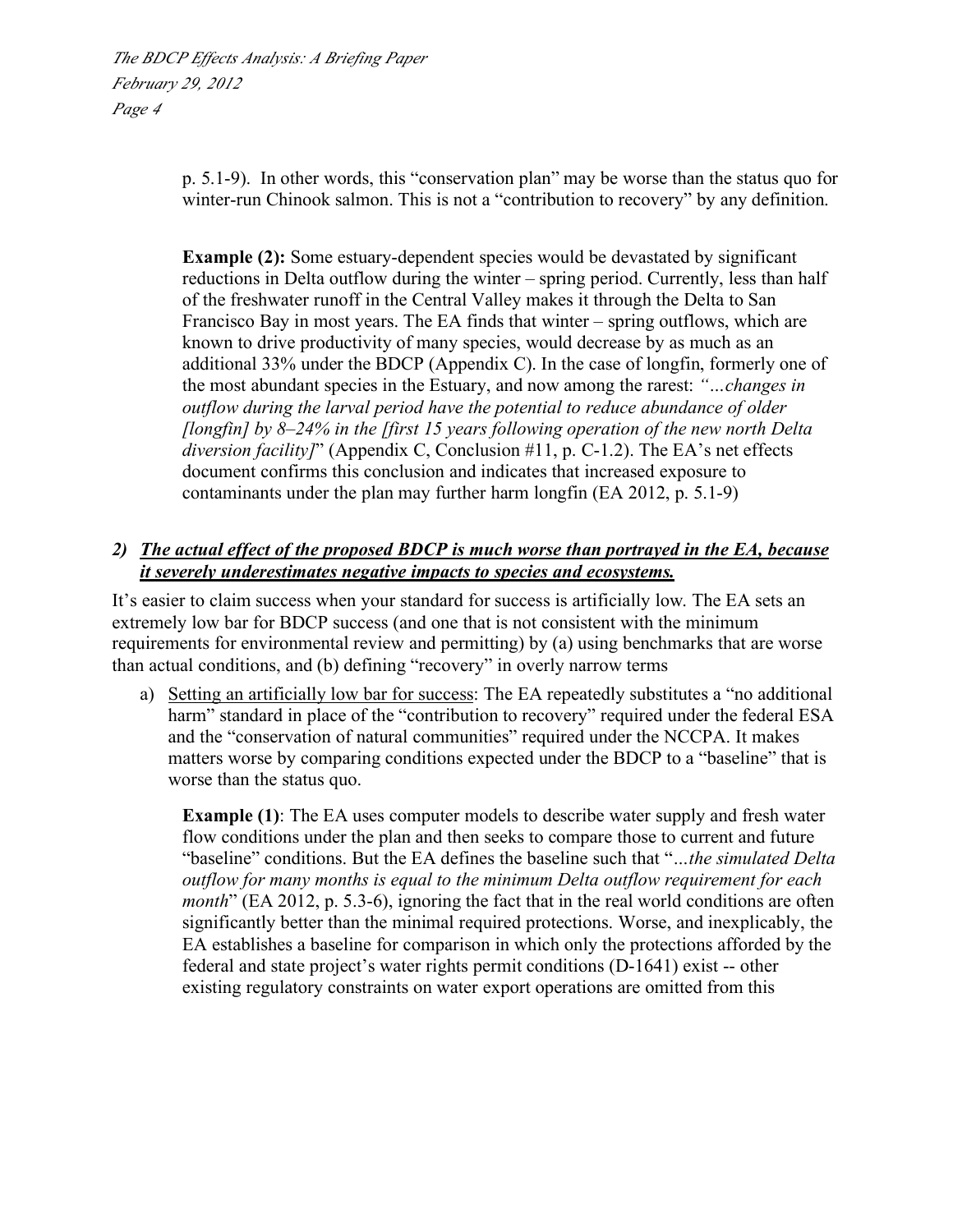> p. 5.1-9). In other words, this "conservation plan" may be worse than the status quo for winter-run Chinook salmon. This is not a "contribution to recovery" by any definition.

**Example (2):** Some estuary-dependent species would be devastated by significant reductions in Delta outflow during the winter – spring period. Currently, less than half of the freshwater runoff in the Central Valley makes it through the Delta to San Francisco Bay in most years. The EA finds that winter – spring outflows, which are known to drive productivity of many species, would decrease by as much as an additional 33% under the BDCP (Appendix C). In the case of longfin, formerly one of the most abundant species in the Estuary, and now among the rarest: *"…changes in outflow during the larval period have the potential to reduce abundance of older [longfin] by 8–24% in the [first 15 years following operation of the new north Delta diversion facility]*" (Appendix C, Conclusion #11, p. C-1.2). The EA's net effects document confirms this conclusion and indicates that increased exposure to contaminants under the plan may further harm longfin (EA 2012, p. 5.1-9)

## *2) The actual effect of the proposed BDCP is much worse than portrayed in the EA, because it severely underestimates negative impacts to species and ecosystems.*

It's easier to claim success when your standard for success is artificially low. The EA sets an extremely low bar for BDCP success (and one that is not consistent with the minimum requirements for environmental review and permitting) by (a) using benchmarks that are worse than actual conditions, and (b) defining "recovery" in overly narrow terms

a) Setting an artificially low bar for success: The EA repeatedly substitutes a "no additional harm" standard in place of the "contribution to recovery" required under the federal ESA and the "conservation of natural communities" required under the NCCPA. It makes matters worse by comparing conditions expected under the BDCP to a "baseline" that is worse than the status quo.

**Example (1)**: The EA uses computer models to describe water supply and fresh water flow conditions under the plan and then seeks to compare those to current and future "baseline" conditions. But the EA defines the baseline such that "*…the simulated Delta outflow for many months is equal to the minimum Delta outflow requirement for each month*" (EA 2012, p. 5.3-6), ignoring the fact that in the real world conditions are often significantly better than the minimal required protections. Worse, and inexplicably, the EA establishes a baseline for comparison in which only the protections afforded by the federal and state project's water rights permit conditions (D-1641) exist -- other existing regulatory constraints on water export operations are omitted from this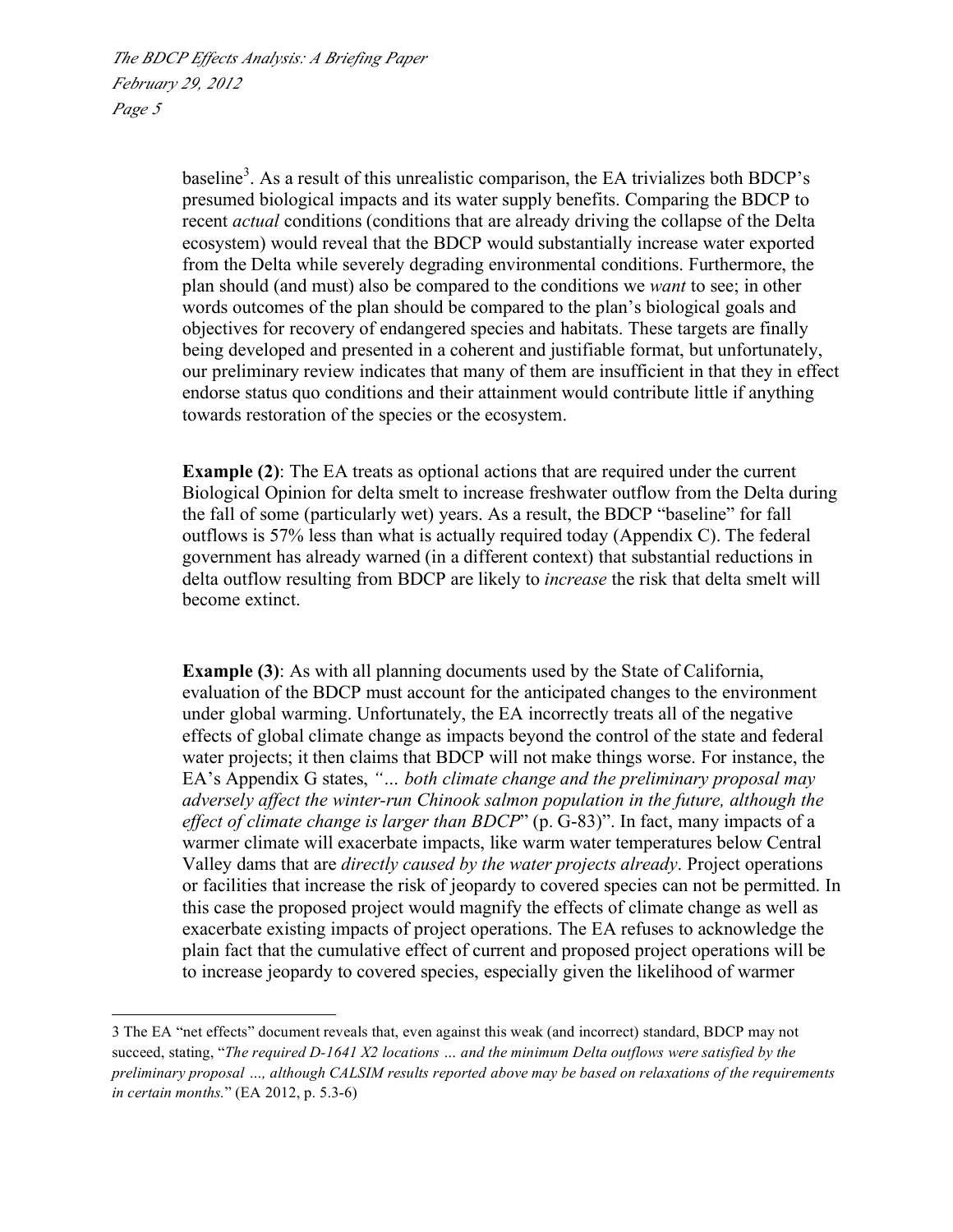baseline<sup>3</sup>. As a result of this unrealistic comparison, the EA trivializes both BDCP's presumed biological impacts and its water supply benefits. Comparing the BDCP to recent *actual* conditions (conditions that are already driving the collapse of the Delta ecosystem) would reveal that the BDCP would substantially increase water exported from the Delta while severely degrading environmental conditions. Furthermore, the plan should (and must) also be compared to the conditions we *want* to see; in other words outcomes of the plan should be compared to the plan's biological goals and objectives for recovery of endangered species and habitats. These targets are finally being developed and presented in a coherent and justifiable format, but unfortunately, our preliminary review indicates that many of them are insufficient in that they in effect endorse status quo conditions and their attainment would contribute little if anything towards restoration of the species or the ecosystem.

**Example (2)**: The EA treats as optional actions that are required under the current Biological Opinion for delta smelt to increase freshwater outflow from the Delta during the fall of some (particularly wet) years. As a result, the BDCP "baseline" for fall outflows is 57% less than what is actually required today (Appendix C). The federal government has already warned (in a different context) that substantial reductions in delta outflow resulting from BDCP are likely to *increase* the risk that delta smelt will become extinct.

**Example (3)**: As with all planning documents used by the State of California, evaluation of the BDCP must account for the anticipated changes to the environment under global warming. Unfortunately, the EA incorrectly treats all of the negative effects of global climate change as impacts beyond the control of the state and federal water projects; it then claims that BDCP will not make things worse. For instance, the EA's Appendix G states, *"… both climate change and the preliminary proposal may adversely affect the winter-run Chinook salmon population in the future, although the effect of climate change is larger than BDCP*" (p. G-83)". In fact, many impacts of a warmer climate will exacerbate impacts, like warm water temperatures below Central Valley dams that are *directly caused by the water projects already*. Project operations or facilities that increase the risk of jeopardy to covered species can not be permitted. In this case the proposed project would magnify the effects of climate change as well as exacerbate existing impacts of project operations. The EA refuses to acknowledge the plain fact that the cumulative effect of current and proposed project operations will be to increase jeopardy to covered species, especially given the likelihood of warmer

<sup>3</sup> The EA "net effects" document reveals that, even against this weak (and incorrect) standard, BDCP may not succeed, stating, "*The required D-1641 X2 locations … and the minimum Delta outflows were satisfied by the preliminary proposal …, although CALSIM results reported above may be based on relaxations of the requirements in certain months.*" (EA 2012, p. 5.3-6)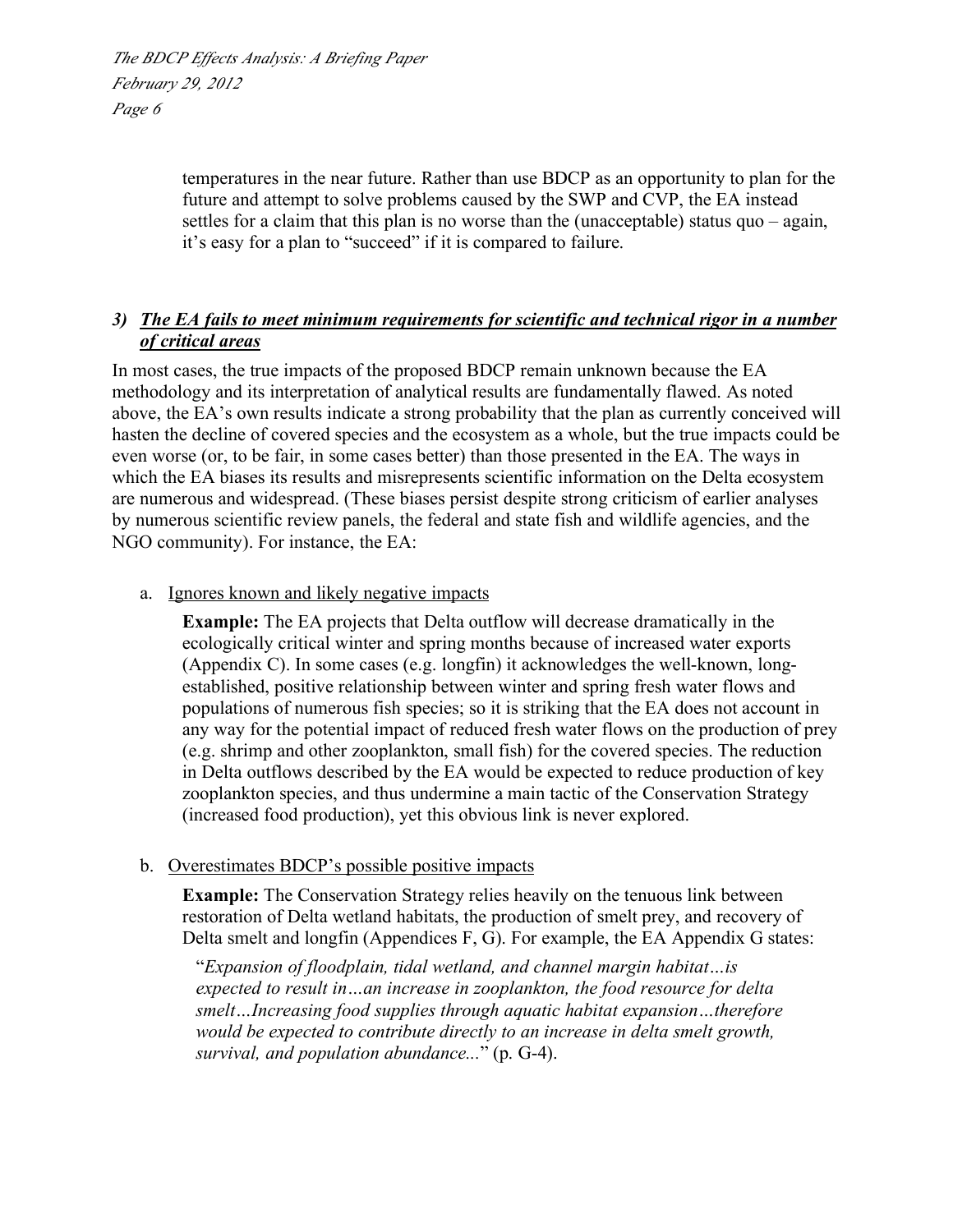> temperatures in the near future. Rather than use BDCP as an opportunity to plan for the future and attempt to solve problems caused by the SWP and CVP, the EA instead settles for a claim that this plan is no worse than the (unacceptable) status quo – again, it's easy for a plan to "succeed" if it is compared to failure.

# *3) The EA fails to meet minimum requirements for scientific and technical rigor in a number of critical areas*

In most cases, the true impacts of the proposed BDCP remain unknown because the EA methodology and its interpretation of analytical results are fundamentally flawed. As noted above, the EA's own results indicate a strong probability that the plan as currently conceived will hasten the decline of covered species and the ecosystem as a whole, but the true impacts could be even worse (or, to be fair, in some cases better) than those presented in the EA. The ways in which the EA biases its results and misrepresents scientific information on the Delta ecosystem are numerous and widespread. (These biases persist despite strong criticism of earlier analyses by numerous scientific review panels, the federal and state fish and wildlife agencies, and the NGO community). For instance, the EA:

#### a. Ignores known and likely negative impacts

**Example:** The EA projects that Delta outflow will decrease dramatically in the ecologically critical winter and spring months because of increased water exports (Appendix C). In some cases (e.g. longfin) it acknowledges the well-known, longestablished, positive relationship between winter and spring fresh water flows and populations of numerous fish species; so it is striking that the EA does not account in any way for the potential impact of reduced fresh water flows on the production of prey (e.g. shrimp and other zooplankton, small fish) for the covered species. The reduction in Delta outflows described by the EA would be expected to reduce production of key zooplankton species, and thus undermine a main tactic of the Conservation Strategy (increased food production), yet this obvious link is never explored.

## b. Overestimates BDCP's possible positive impacts

**Example:** The Conservation Strategy relies heavily on the tenuous link between restoration of Delta wetland habitats, the production of smelt prey, and recovery of Delta smelt and longfin (Appendices F, G). For example, the EA Appendix G states:

"*Expansion of floodplain, tidal wetland, and channel margin habitat…is expected to result in…an increase in zooplankton, the food resource for delta smelt…Increasing food supplies through aquatic habitat expansion…therefore would be expected to contribute directly to an increase in delta smelt growth, survival, and population abundance...*" (p. G-4).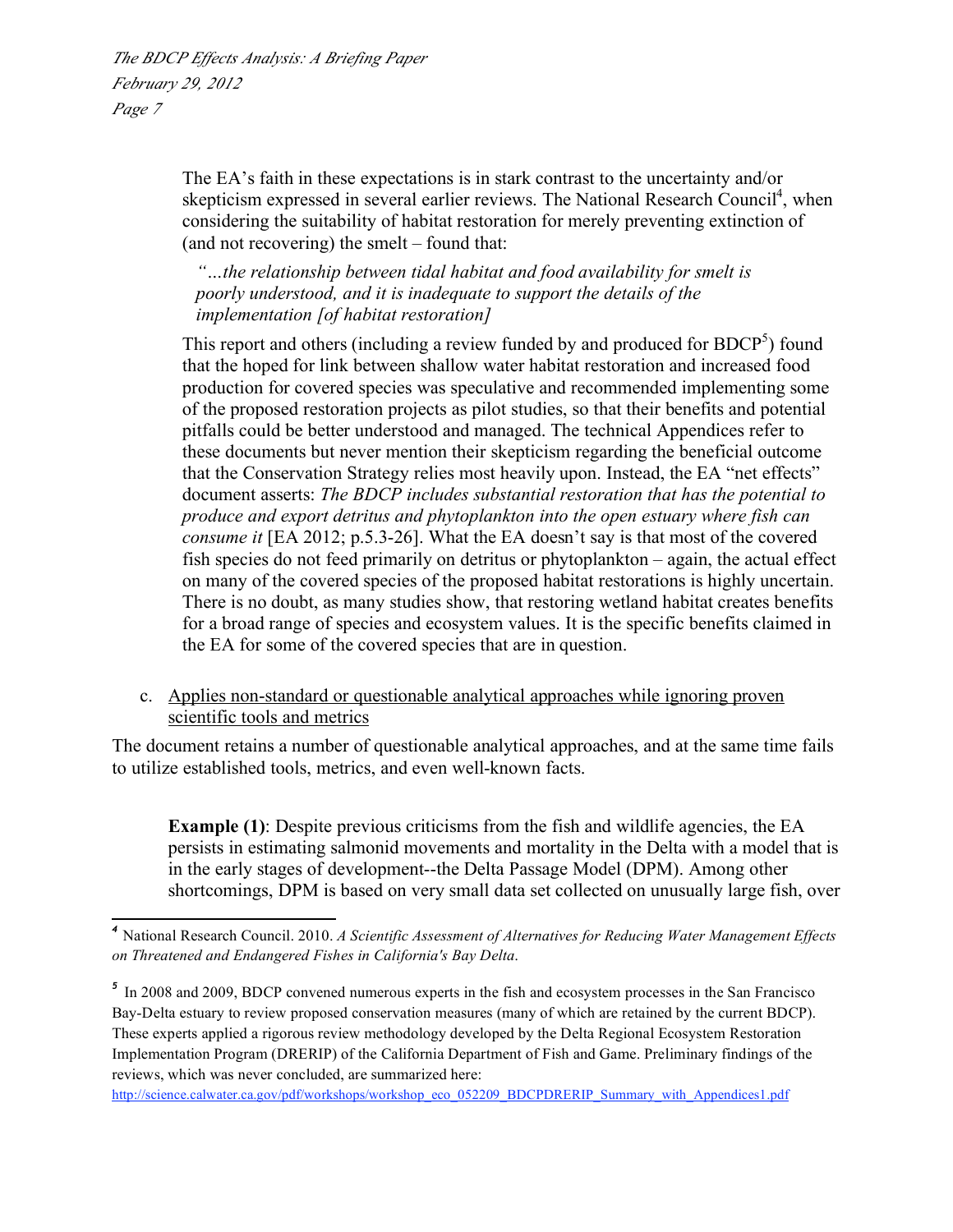> The EA's faith in these expectations is in stark contrast to the uncertainty and/or skepticism expressed in several earlier reviews. The National Research Council<sup>4</sup>, when considering the suitability of habitat restoration for merely preventing extinction of (and not recovering) the smelt – found that:

*"…the relationship between tidal habitat and food availability for smelt is poorly understood, and it is inadequate to support the details of the implementation [of habitat restoration]*

This report and others (including a review funded by and produced for  $BDCP<sup>5</sup>$ ) found that the hoped for link between shallow water habitat restoration and increased food production for covered species was speculative and recommended implementing some of the proposed restoration projects as pilot studies, so that their benefits and potential pitfalls could be better understood and managed. The technical Appendices refer to these documents but never mention their skepticism regarding the beneficial outcome that the Conservation Strategy relies most heavily upon. Instead, the EA "net effects" document asserts: *The BDCP includes substantial restoration that has the potential to produce and export detritus and phytoplankton into the open estuary where fish can consume it* [EA 2012; p.5.3-26]. What the EA doesn't say is that most of the covered fish species do not feed primarily on detritus or phytoplankton – again, the actual effect on many of the covered species of the proposed habitat restorations is highly uncertain. There is no doubt, as many studies show, that restoring wetland habitat creates benefits for a broad range of species and ecosystem values. It is the specific benefits claimed in the EA for some of the covered species that are in question.

## c. Applies non-standard or questionable analytical approaches while ignoring proven scientific tools and metrics

The document retains a number of questionable analytical approaches, and at the same time fails to utilize established tools, metrics, and even well-known facts.

**Example (1)**: Despite previous criticisms from the fish and wildlife agencies, the EA persists in estimating salmonid movements and mortality in the Delta with a model that is in the early stages of development--the Delta Passage Model (DPM). Among other shortcomings, DPM is based on very small data set collected on unusually large fish, over

 *<sup>4</sup>* National Research Council. 2010. *A Scientific Assessment of Alternatives for Reducing Water Management Effects on Threatened and Endangered Fishes in California's Bay Delta*.

*<sup>5</sup>* In 2008 and 2009, BDCP convened numerous experts in the fish and ecosystem processes in the San Francisco Bay-Delta estuary to review proposed conservation measures (many of which are retained by the current BDCP). These experts applied a rigorous review methodology developed by the Delta Regional Ecosystem Restoration Implementation Program (DRERIP) of the California Department of Fish and Game. Preliminary findings of the reviews, which was never concluded, are summarized here:

http://science.calwater.ca.gov/pdf/workshops/workshop\_eco\_052209\_BDCPDRERIP\_Summary\_with\_Appendices1.pdf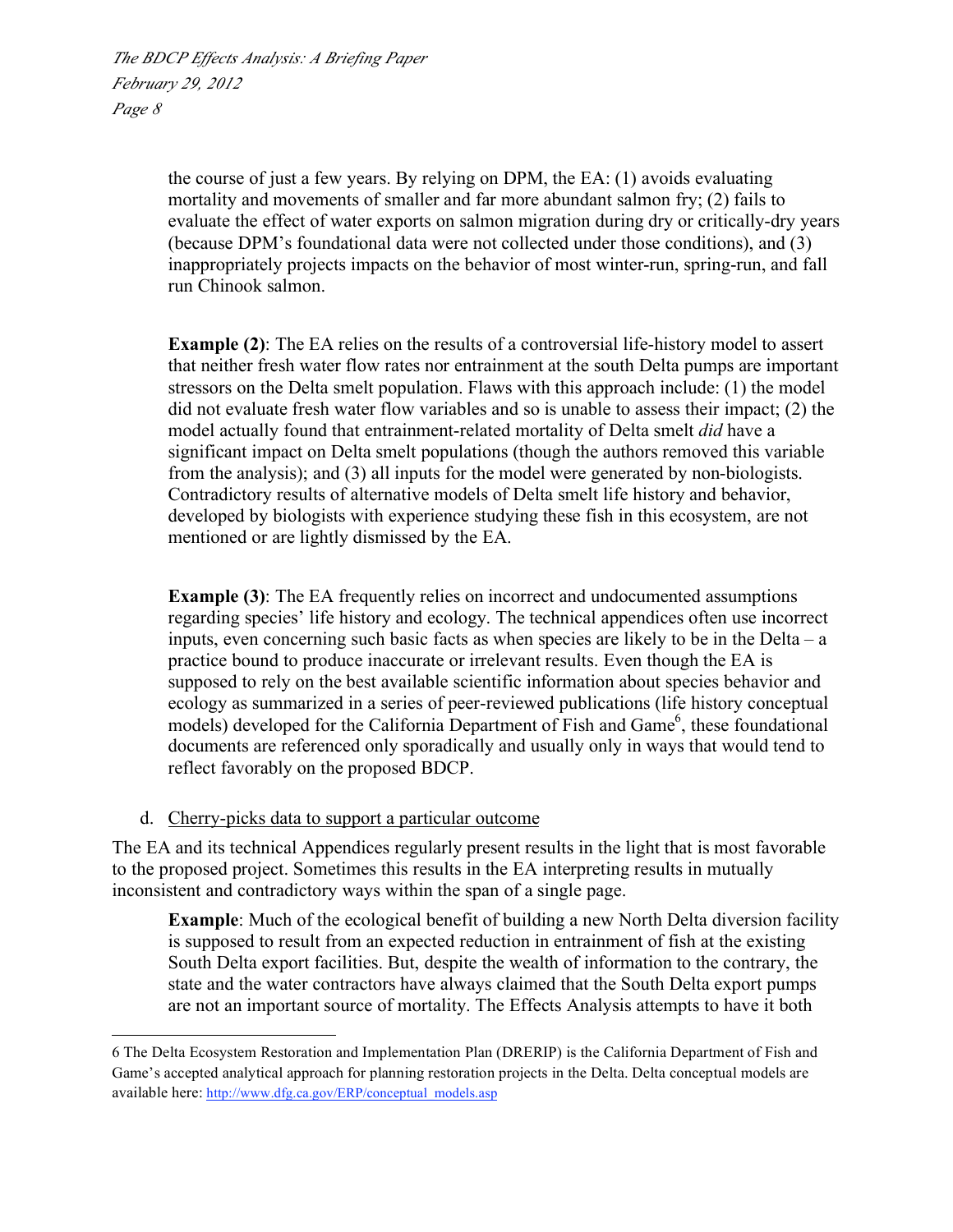> the course of just a few years. By relying on DPM, the EA: (1) avoids evaluating mortality and movements of smaller and far more abundant salmon fry; (2) fails to evaluate the effect of water exports on salmon migration during dry or critically-dry years (because DPM's foundational data were not collected under those conditions), and (3) inappropriately projects impacts on the behavior of most winter-run, spring-run, and fall run Chinook salmon.

> **Example (2)**: The EA relies on the results of a controversial life-history model to assert that neither fresh water flow rates nor entrainment at the south Delta pumps are important stressors on the Delta smelt population. Flaws with this approach include: (1) the model did not evaluate fresh water flow variables and so is unable to assess their impact; (2) the model actually found that entrainment-related mortality of Delta smelt *did* have a significant impact on Delta smelt populations (though the authors removed this variable from the analysis); and (3) all inputs for the model were generated by non-biologists. Contradictory results of alternative models of Delta smelt life history and behavior, developed by biologists with experience studying these fish in this ecosystem, are not mentioned or are lightly dismissed by the EA.

**Example (3)**: The EA frequently relies on incorrect and undocumented assumptions regarding species' life history and ecology. The technical appendices often use incorrect inputs, even concerning such basic facts as when species are likely to be in the Delta – a practice bound to produce inaccurate or irrelevant results. Even though the EA is supposed to rely on the best available scientific information about species behavior and ecology as summarized in a series of peer-reviewed publications (life history conceptual models) developed for the California Department of Fish and Game<sup>6</sup>, these foundational documents are referenced only sporadically and usually only in ways that would tend to reflect favorably on the proposed BDCP.

## d. Cherry-picks data to support a particular outcome

The EA and its technical Appendices regularly present results in the light that is most favorable to the proposed project. Sometimes this results in the EA interpreting results in mutually inconsistent and contradictory ways within the span of a single page.

**Example**: Much of the ecological benefit of building a new North Delta diversion facility is supposed to result from an expected reduction in entrainment of fish at the existing South Delta export facilities. But, despite the wealth of information to the contrary, the state and the water contractors have always claimed that the South Delta export pumps are not an important source of mortality. The Effects Analysis attempts to have it both

<sup>6</sup> The Delta Ecosystem Restoration and Implementation Plan (DRERIP) is the California Department of Fish and Game's accepted analytical approach for planning restoration projects in the Delta. Delta conceptual models are available here: http://www.dfg.ca.gov/ERP/conceptual\_models.asp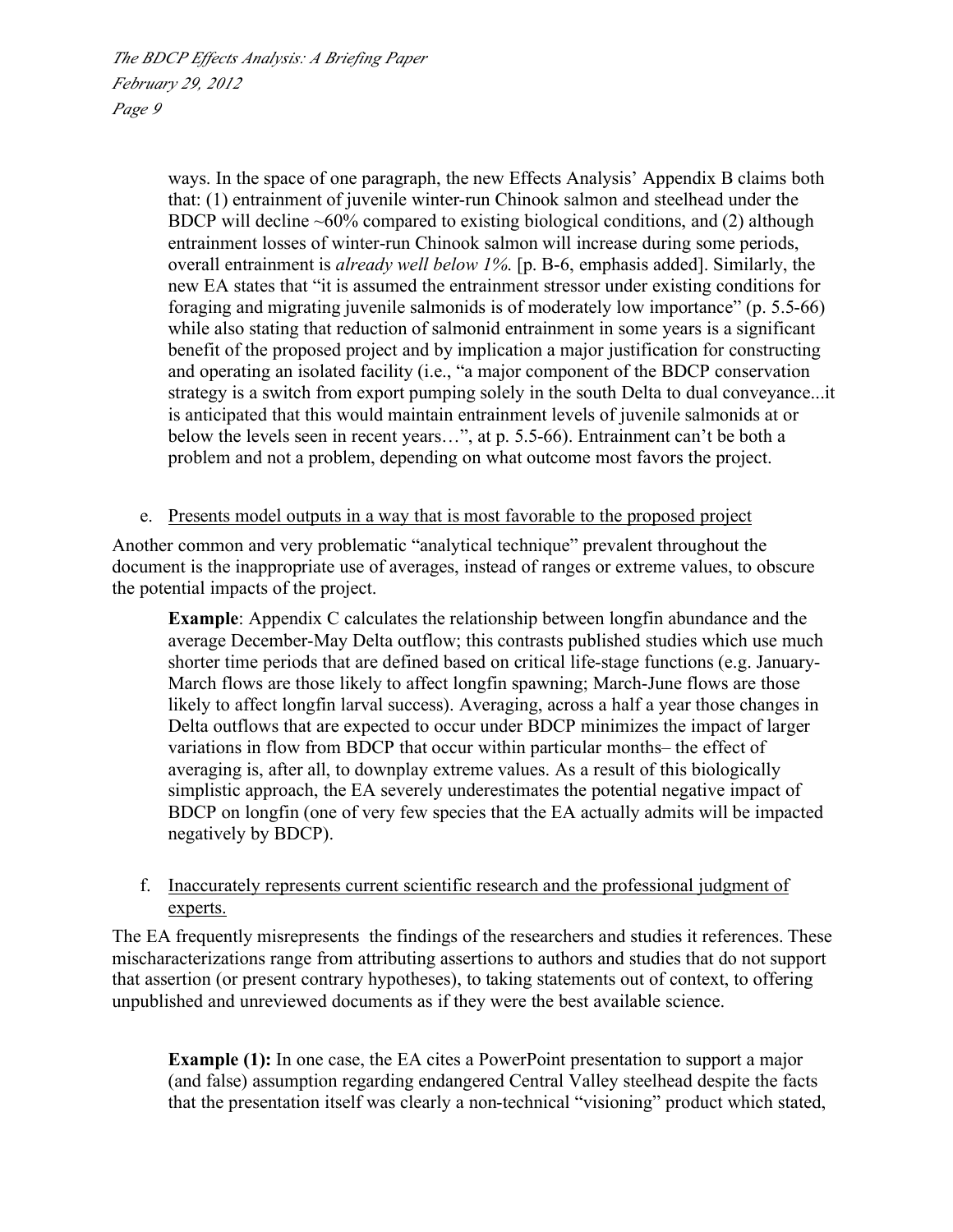> ways. In the space of one paragraph, the new Effects Analysis' Appendix B claims both that: (1) entrainment of juvenile winter-run Chinook salmon and steelhead under the BDCP will decline  $\sim 60\%$  compared to existing biological conditions, and (2) although entrainment losses of winter-run Chinook salmon will increase during some periods, overall entrainment is *already well below 1%*. [p. B-6, emphasis added]. Similarly, the new EA states that "it is assumed the entrainment stressor under existing conditions for foraging and migrating juvenile salmonids is of moderately low importance" (p. 5.5-66) while also stating that reduction of salmonid entrainment in some years is a significant benefit of the proposed project and by implication a major justification for constructing and operating an isolated facility (i.e., "a major component of the BDCP conservation strategy is a switch from export pumping solely in the south Delta to dual conveyance...it is anticipated that this would maintain entrainment levels of juvenile salmonids at or below the levels seen in recent years…", at p. 5.5-66). Entrainment can't be both a problem and not a problem, depending on what outcome most favors the project.

#### e. Presents model outputs in a way that is most favorable to the proposed project

Another common and very problematic "analytical technique" prevalent throughout the document is the inappropriate use of averages, instead of ranges or extreme values, to obscure the potential impacts of the project.

**Example**: Appendix C calculates the relationship between longfin abundance and the average December-May Delta outflow; this contrasts published studies which use much shorter time periods that are defined based on critical life-stage functions (e.g. January-March flows are those likely to affect longfin spawning; March-June flows are those likely to affect longfin larval success). Averaging, across a half a year those changes in Delta outflows that are expected to occur under BDCP minimizes the impact of larger variations in flow from BDCP that occur within particular months– the effect of averaging is, after all, to downplay extreme values. As a result of this biologically simplistic approach, the EA severely underestimates the potential negative impact of BDCP on longfin (one of very few species that the EA actually admits will be impacted negatively by BDCP).

#### f. Inaccurately represents current scientific research and the professional judgment of experts.

The EA frequently misrepresents the findings of the researchers and studies it references. These mischaracterizations range from attributing assertions to authors and studies that do not support that assertion (or present contrary hypotheses), to taking statements out of context, to offering unpublished and unreviewed documents as if they were the best available science.

**Example (1):** In one case, the EA cites a PowerPoint presentation to support a major (and false) assumption regarding endangered Central Valley steelhead despite the facts that the presentation itself was clearly a non-technical "visioning" product which stated,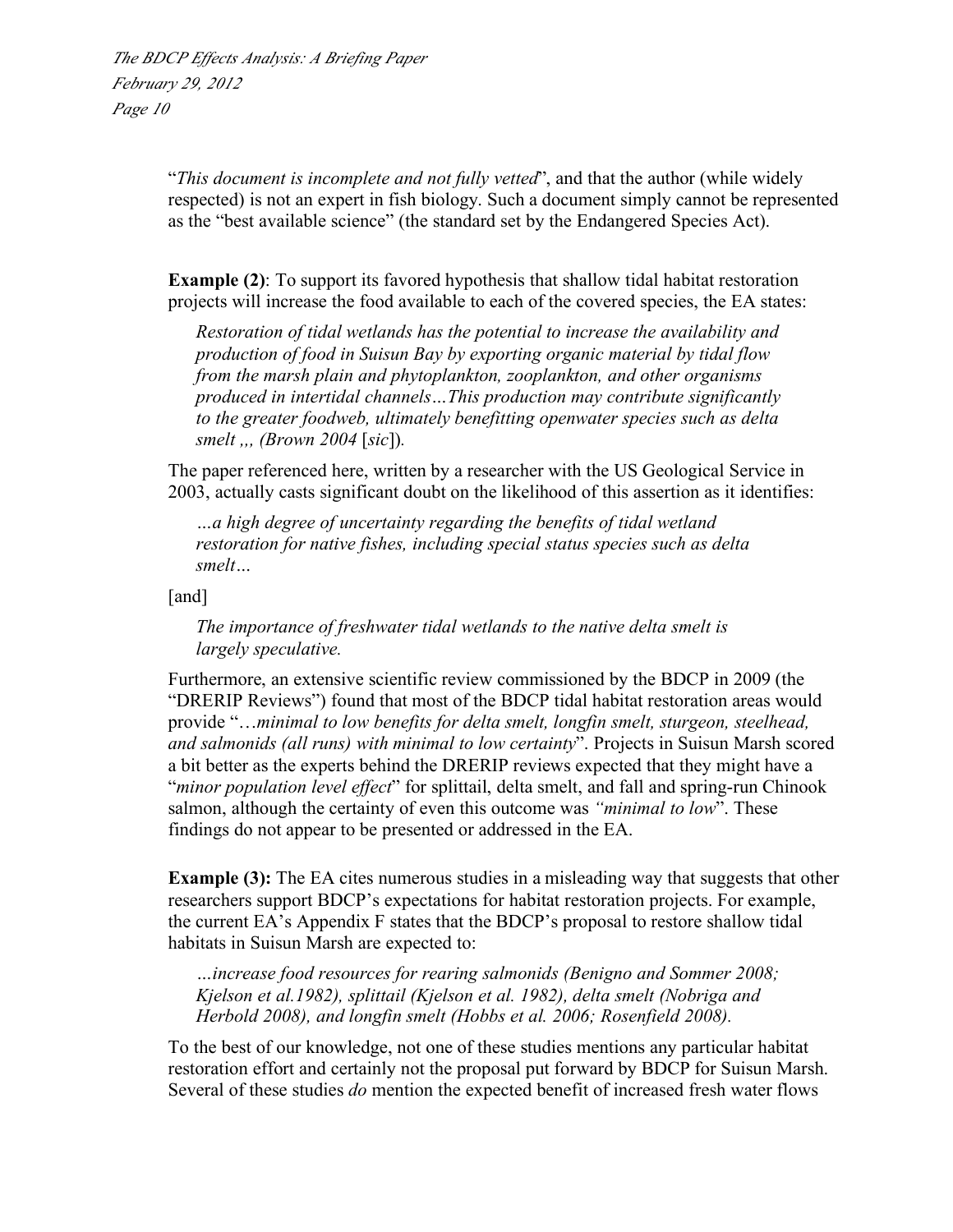"*This document is incomplete and not fully vetted*", and that the author (while widely respected) is not an expert in fish biology. Such a document simply cannot be represented as the "best available science" (the standard set by the Endangered Species Act).

**Example (2)**: To support its favored hypothesis that shallow tidal habitat restoration projects will increase the food available to each of the covered species, the EA states:

*Restoration of tidal wetlands has the potential to increase the availability and production of food in Suisun Bay by exporting organic material by tidal flow from the marsh plain and phytoplankton, zooplankton, and other organisms produced in intertidal channels…This production may contribute significantly to the greater foodweb, ultimately benefitting openwater species such as delta smelt ,,, (Brown 2004* [*sic*])*.*

The paper referenced here, written by a researcher with the US Geological Service in 2003, actually casts significant doubt on the likelihood of this assertion as it identifies:

*…a high degree of uncertainty regarding the benefits of tidal wetland restoration for native fishes, including special status species such as delta smelt…*

[and]

*The importance of freshwater tidal wetlands to the native delta smelt is largely speculative.* 

Furthermore, an extensive scientific review commissioned by the BDCP in 2009 (the "DRERIP Reviews") found that most of the BDCP tidal habitat restoration areas would provide "…*minimal to low benefits for delta smelt, longfin smelt, sturgeon, steelhead, and salmonids (all runs) with minimal to low certainty*". Projects in Suisun Marsh scored a bit better as the experts behind the DRERIP reviews expected that they might have a "*minor population level effect*" for splittail, delta smelt, and fall and spring-run Chinook salmon, although the certainty of even this outcome was *"minimal to low*". These findings do not appear to be presented or addressed in the EA.

**Example (3):** The EA cites numerous studies in a misleading way that suggests that other researchers support BDCP's expectations for habitat restoration projects. For example, the current EA's Appendix F states that the BDCP's proposal to restore shallow tidal habitats in Suisun Marsh are expected to:

*…increase food resources for rearing salmonids (Benigno and Sommer 2008; Kjelson et al.1982), splittail (Kjelson et al. 1982), delta smelt (Nobriga and Herbold 2008), and longfin smelt (Hobbs et al. 2006; Rosenfield 2008).*

To the best of our knowledge, not one of these studies mentions any particular habitat restoration effort and certainly not the proposal put forward by BDCP for Suisun Marsh. Several of these studies *do* mention the expected benefit of increased fresh water flows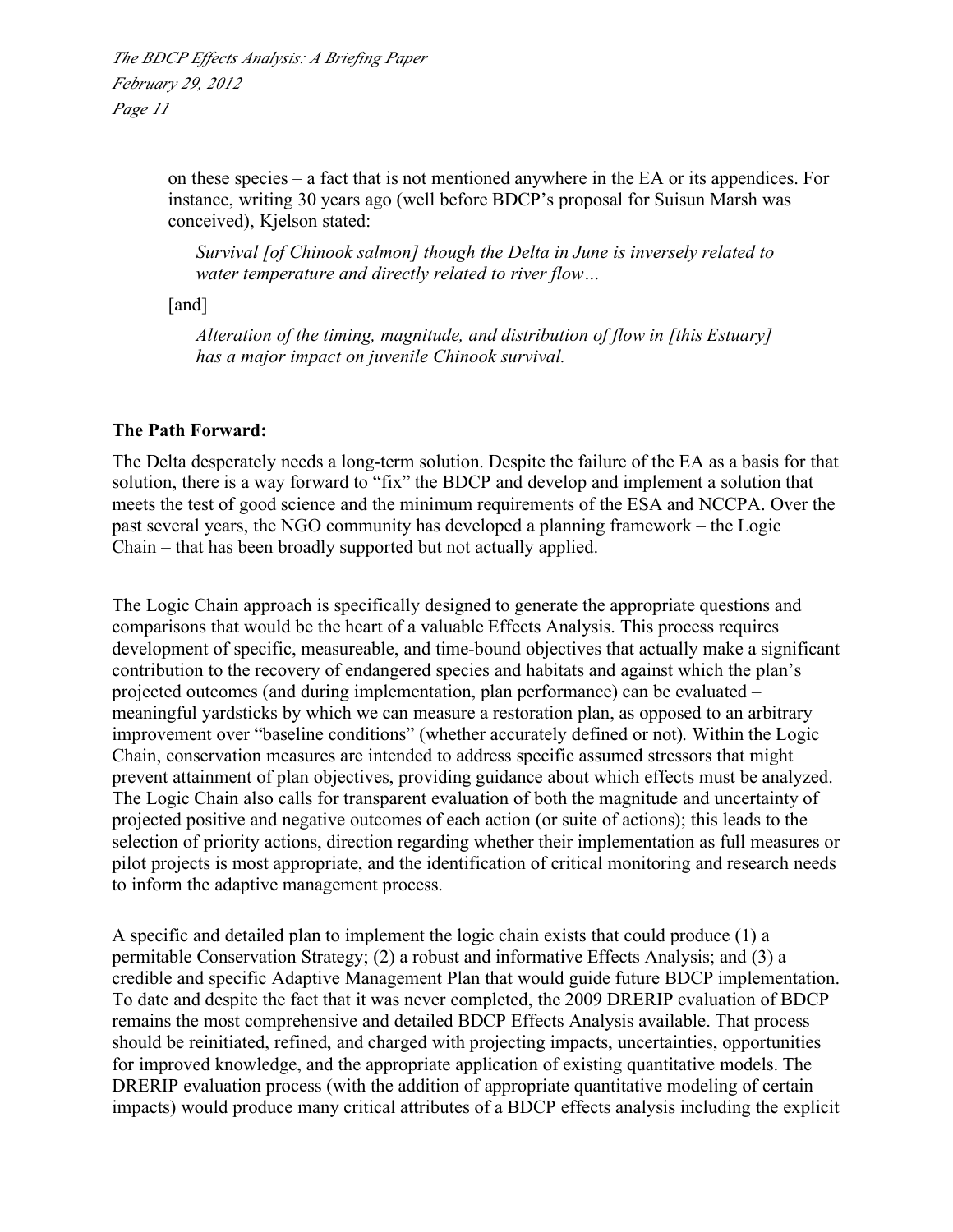> on these species – a fact that is not mentioned anywhere in the EA or its appendices. For instance, writing 30 years ago (well before BDCP's proposal for Suisun Marsh was conceived), Kjelson stated:

*Survival [of Chinook salmon] though the Delta in June is inversely related to water temperature and directly related to river flow…*

[and]

*Alteration of the timing, magnitude, and distribution of flow in [this Estuary] has a major impact on juvenile Chinook survival.*

## **The Path Forward:**

The Delta desperately needs a long-term solution. Despite the failure of the EA as a basis for that solution, there is a way forward to "fix" the BDCP and develop and implement a solution that meets the test of good science and the minimum requirements of the ESA and NCCPA. Over the past several years, the NGO community has developed a planning framework – the Logic Chain – that has been broadly supported but not actually applied.

The Logic Chain approach is specifically designed to generate the appropriate questions and comparisons that would be the heart of a valuable Effects Analysis. This process requires development of specific, measureable, and time-bound objectives that actually make a significant contribution to the recovery of endangered species and habitats and against which the plan's projected outcomes (and during implementation, plan performance) can be evaluated – meaningful yardsticks by which we can measure a restoration plan, as opposed to an arbitrary improvement over "baseline conditions" (whether accurately defined or not). Within the Logic Chain, conservation measures are intended to address specific assumed stressors that might prevent attainment of plan objectives, providing guidance about which effects must be analyzed. The Logic Chain also calls for transparent evaluation of both the magnitude and uncertainty of projected positive and negative outcomes of each action (or suite of actions); this leads to the selection of priority actions, direction regarding whether their implementation as full measures or pilot projects is most appropriate, and the identification of critical monitoring and research needs to inform the adaptive management process.

A specific and detailed plan to implement the logic chain exists that could produce (1) a permitable Conservation Strategy; (2) a robust and informative Effects Analysis; and (3) a credible and specific Adaptive Management Plan that would guide future BDCP implementation. To date and despite the fact that it was never completed, the 2009 DRERIP evaluation of BDCP remains the most comprehensive and detailed BDCP Effects Analysis available. That process should be reinitiated, refined, and charged with projecting impacts, uncertainties, opportunities for improved knowledge, and the appropriate application of existing quantitative models. The DRERIP evaluation process (with the addition of appropriate quantitative modeling of certain impacts) would produce many critical attributes of a BDCP effects analysis including the explicit